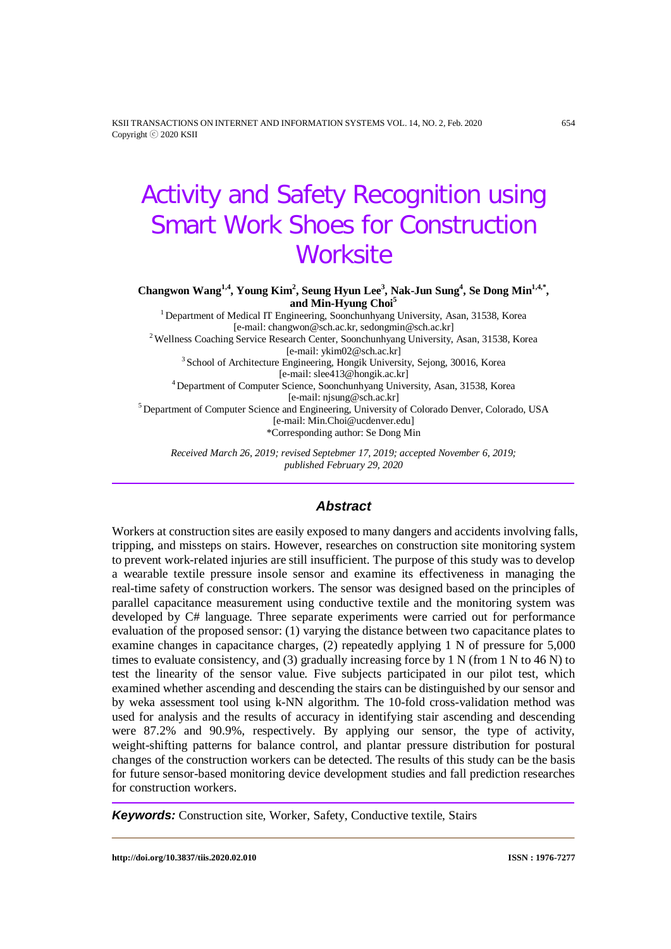KSII TRANSACTIONS ON INTERNET AND INFORMATION SYSTEMS VOL. 14, NO. 2, Feb. 2020 654 Copyright ⓒ 2020 KSII

# Activity and Safety Recognition using Smart Work Shoes for Construction **Worksite**

Changwon Wang<sup>1,4</sup>, Young Kim<sup>2</sup>, Seung Hyun Lee<sup>3</sup>, Nak-Jun Sung<sup>4</sup>, Se Dong Min<sup>1,4,\*</sup>, **and Min-Hyung Choi<sup>5</sup>**

<sup>1</sup> Department of Medical IT Engineering, Soonchunhyang University, Asan, 31538, Korea [e-mail: changwon@sch.ac.kr, sedongmin@sch.ac.kr]<br><sup>2</sup>Wellness Coaching Service Research Center, Soonchunhyang University, Asan, 31538, Korea<br>[e-mail: ykim02@sch.ac.kr]  $3$  School of Architecture Engineering, Hongik University, Sejong, 30016, Korea [e-mail: slee413@hongik.ac.kr] 4 Department of Computer Science, Soonchunhyang University, Asan, 31538, Korea [e-mail: njsung@sch.ac.kr] <sup>5</sup> Department of Computer Science and Engineering, University of Colorado Denver, Colorado, USA [e-mail: Min.Choi@ucdenver.edu] \*Corresponding author: Se Dong Min

*Received March 26, 2019; revised Septebmer 17, 2019; accepted November 6, 2019; published February 29, 2020*

# *Abstract*

Workers at construction sites are easily exposed to many dangers and accidents involving falls, tripping, and missteps on stairs. However, researches on construction site monitoring system to prevent work-related injuries are still insufficient. The purpose of this study was to develop a wearable textile pressure insole sensor and examine its effectiveness in managing the real-time safety of construction workers. The sensor was designed based on the principles of parallel capacitance measurement using conductive textile and the monitoring system was developed by C# language. Three separate experiments were carried out for performance evaluation of the proposed sensor: (1) varying the distance between two capacitance plates to examine changes in capacitance charges, (2) repeatedly applying 1 N of pressure for 5,000 times to evaluate consistency, and (3) gradually increasing force by 1 N (from 1 N to 46 N) to test the linearity of the sensor value. Five subjects participated in our pilot test, which examined whether ascending and descending the stairs can be distinguished by our sensor and by weka assessment tool using k-NN algorithm. The 10-fold cross-validation method was used for analysis and the results of accuracy in identifying stair ascending and descending were 87.2% and 90.9%, respectively. By applying our sensor, the type of activity, weight-shifting patterns for balance control, and plantar pressure distribution for postural changes of the construction workers can be detected. The results of this study can be the basis for future sensor-based monitoring device development studies and fall prediction researches for construction workers.

*Keywords:* Construction site, Worker, Safety, Conductive textile, Stairs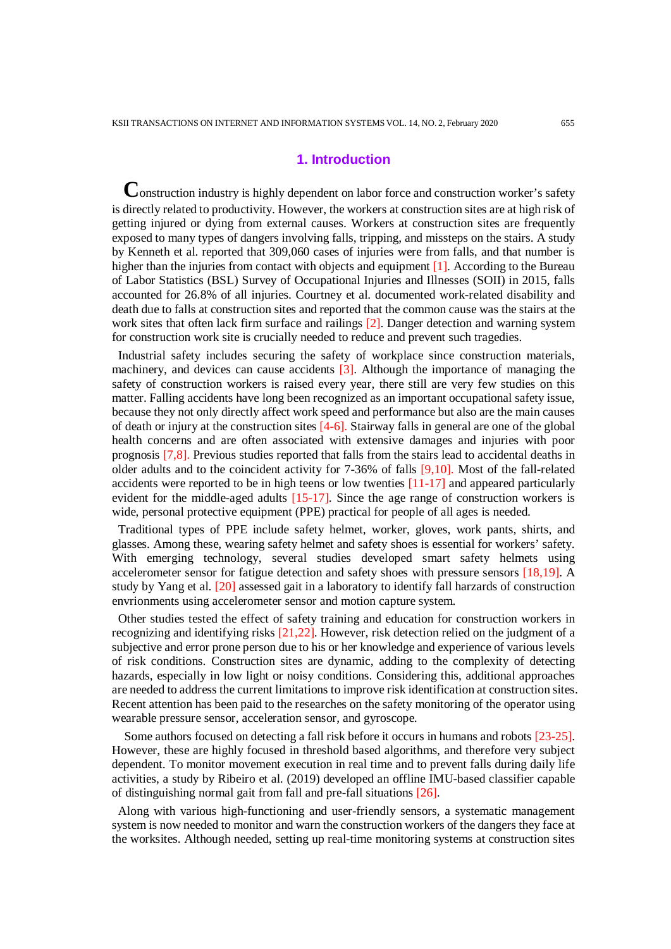# **1. Introduction**

**C**onstruction industry is highly dependent on labor force and construction worker's safety is directly related to productivity. However, the workers at construction sites are at high risk of getting injured or dying from external causes. Workers at construction sites are frequently exposed to many types of dangers involving falls, tripping, and missteps on the stairs. A study by Kenneth et al. reported that 309,060 cases of injuries were from falls, and that number is higher than the injuries from contact with objects and equipment [1]. According to the Bureau of Labor Statistics (BSL) Survey of Occupational Injuries and Illnesses (SOII) in 2015, falls accounted for 26.8% of all injuries. Courtney et al. documented work-related disability and death due to falls at construction sites and reported that the common cause was the stairs at the work sites that often lack firm surface and railings [2]. Danger detection and warning system for construction work site is crucially needed to reduce and prevent such tragedies.

Industrial safety includes securing the safety of workplace since construction materials, machinery, and devices can cause accidents [3]. Although the importance of managing the safety of construction workers is raised every year, there still are very few studies on this matter. Falling accidents have long been recognized as an important occupational safety issue, because they not only directly affect work speed and performance but also are the main causes of death or injury at the construction sites [4-6]. Stairway falls in general are one of the global health concerns and are often associated with extensive damages and injuries with poor prognosis [7,8]. Previous studies reported that falls from the stairs lead to accidental deaths in older adults and to the coincident activity for 7-36% of falls [9,10]. Most of the fall-related accidents were reported to be in high teens or low twenties  $[11-17]$  and appeared particularly evident for the middle-aged adults [15-17]. Since the age range of construction workers is wide, personal protective equipment (PPE) practical for people of all ages is needed.

Traditional types of PPE include safety helmet, worker, gloves, work pants, shirts, and glasses. Among these, wearing safety helmet and safety shoes is essential for workers' safety. With emerging technology, several studies developed smart safety helmets using accelerometer sensor for fatigue detection and safety shoes with pressure sensors [18,19]. A study by Yang et al. [20] assessed gait in a laboratory to identify fall harzards of construction envrionments using accelerometer sensor and motion capture system.

Other studies tested the effect of safety training and education for construction workers in recognizing and identifying risks [21,22]. However, risk detection relied on the judgment of a subjective and error prone person due to his or her knowledge and experience of various levels of risk conditions. Construction sites are dynamic, adding to the complexity of detecting hazards, especially in low light or noisy conditions. Considering this, additional approaches are needed to address the current limitations to improve risk identification at construction sites. Recent attention has been paid to the researches on the safety monitoring of the operator using wearable pressure sensor, acceleration sensor, and gyroscope.

Some authors focused on detecting a fall risk before it occurs in humans and robots [23-25]. However, these are highly focused in threshold based algorithms, and therefore very subject dependent. To monitor movement execution in real time and to prevent falls during daily life activities, a study by Ribeiro et al. (2019) developed an offline IMU-based classifier capable of distinguishing normal gait from fall and pre-fall situations [26].

Along with various high-functioning and user-friendly sensors, a systematic management system is now needed to monitor and warn the construction workers of the dangers they face at the worksites. Although needed, setting up real-time monitoring systems at construction sites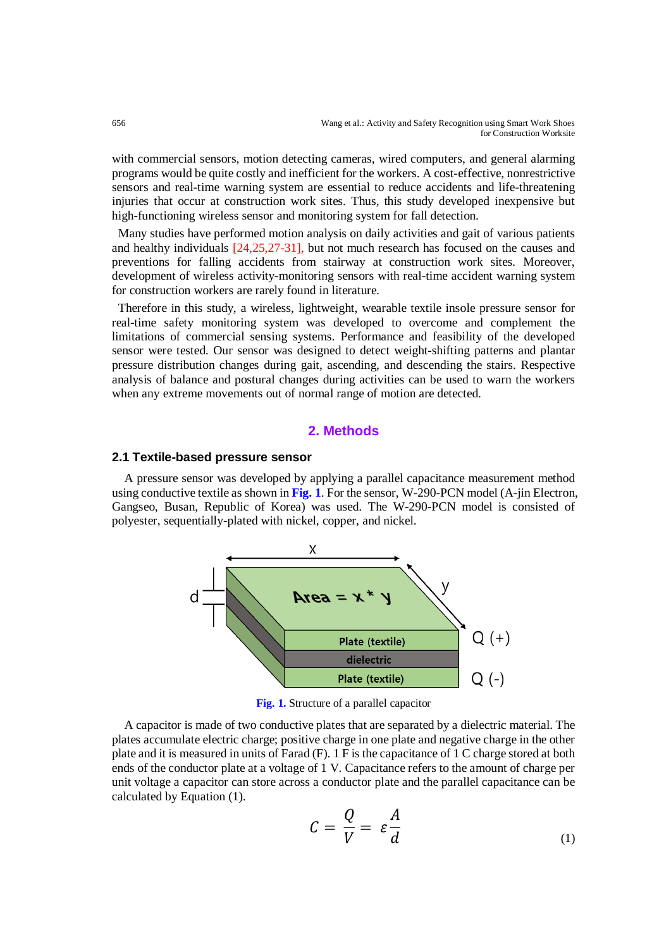with commercial sensors, motion detecting cameras, wired computers, and general alarming programs would be quite costly and inefficient for the workers. A cost-effective, nonrestrictive sensors and real-time warning system are essential to reduce accidents and life-threatening injuries that occur at construction work sites. Thus, this study developed inexpensive but high-functioning wireless sensor and monitoring system for fall detection.

Many studies have performed motion analysis on daily activities and gait of various patients and healthy individuals [24,25,27-31], but not much research has focused on the causes and preventions for falling accidents from stairway at construction work sites. Moreover, development of wireless activity-monitoring sensors with real-time accident warning system for construction workers are rarely found in literature.

Therefore in this study, a wireless, lightweight, wearable textile insole pressure sensor for real-time safety monitoring system was developed to overcome and complement the limitations of commercial sensing systems. Performance and feasibility of the developed sensor were tested. Our sensor was designed to detect weight-shifting patterns and plantar pressure distribution changes during gait, ascending, and descending the stairs. Respective analysis of balance and postural changes during activities can be used to warn the workers when any extreme movements out of normal range of motion are detected.

# **2. Methods**

#### **2.1 Textile-based pressure sensor**

A pressure sensor was developed by applying a parallel capacitance measurement method using conductive textile as shown in **Fig. 1**. For the sensor, W-290-PCN model (A-jin Electron, Gangseo, Busan, Republic of Korea) was used. The W-290-PCN model is consisted of polyester, sequentially-plated with nickel, copper, and nickel.



**Fig. 1.** Structure of a parallel capacitor

A capacitor is made of two conductive plates that are separated by a dielectric material. The plates accumulate electric charge; positive charge in one plate and negative charge in the other plate and it is measured in units of Farad (F). 1 F is the capacitance of 1 C charge stored at both ends of the conductor plate at a voltage of 1 V. Capacitance refers to the amount of charge per unit voltage a capacitor can store across a conductor plate and the parallel capacitance can be calculated by Equation (1).

$$
C = \frac{Q}{V} = \varepsilon \frac{A}{d} \tag{1}
$$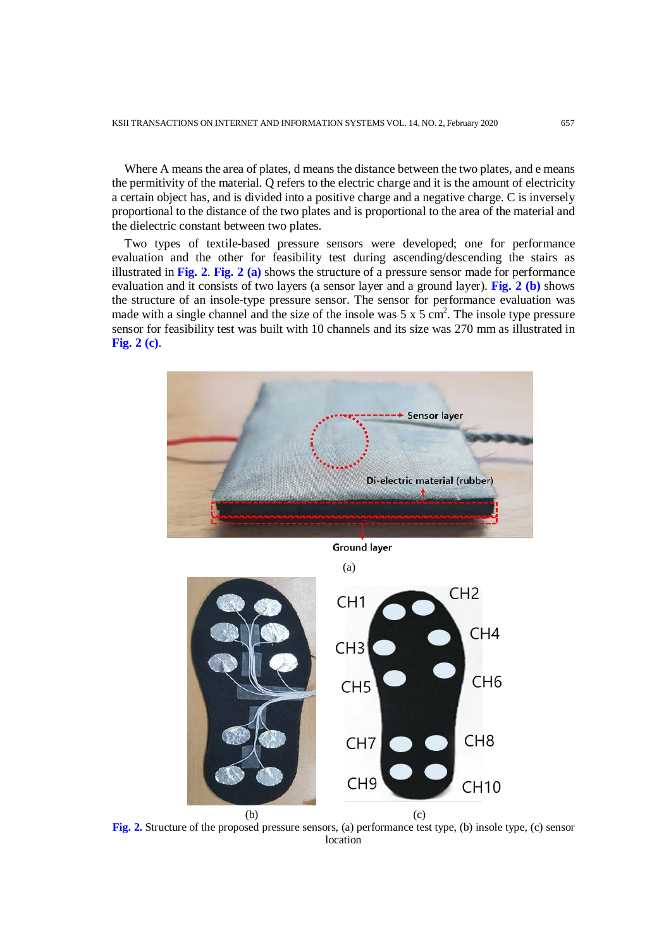Where A means the area of plates, d means the distance between the two plates, and e means the permitivity of the material. Q refers to the electric charge and it is the amount of electricity a certain object has, and is divided into a positive charge and a negative charge. C is inversely proportional to the distance of the two plates and is proportional to the area of the material and the dielectric constant between two plates.

Two types of textile-based pressure sensors were developed; one for performance evaluation and the other for feasibility test during ascending/descending the stairs as illustrated in **Fig. 2**. **Fig. 2 (a)** shows the structure of a pressure sensor made for performance evaluation and it consists of two layers (a sensor layer and a ground layer). **Fig. 2 (b)** shows the structure of an insole-type pressure sensor. The sensor for performance evaluation was made with a single channel and the size of the insole was  $5 \times 5 \text{ cm}^2$ . The insole type pressure sensor for feasibility test was built with 10 channels and its size was 270 mm as illustrated in **Fig. 2 (c)**.



**Fig. 2.** Structure of the proposed pressure sensors, (a) performance test type, (b) insole type, (c) sensor location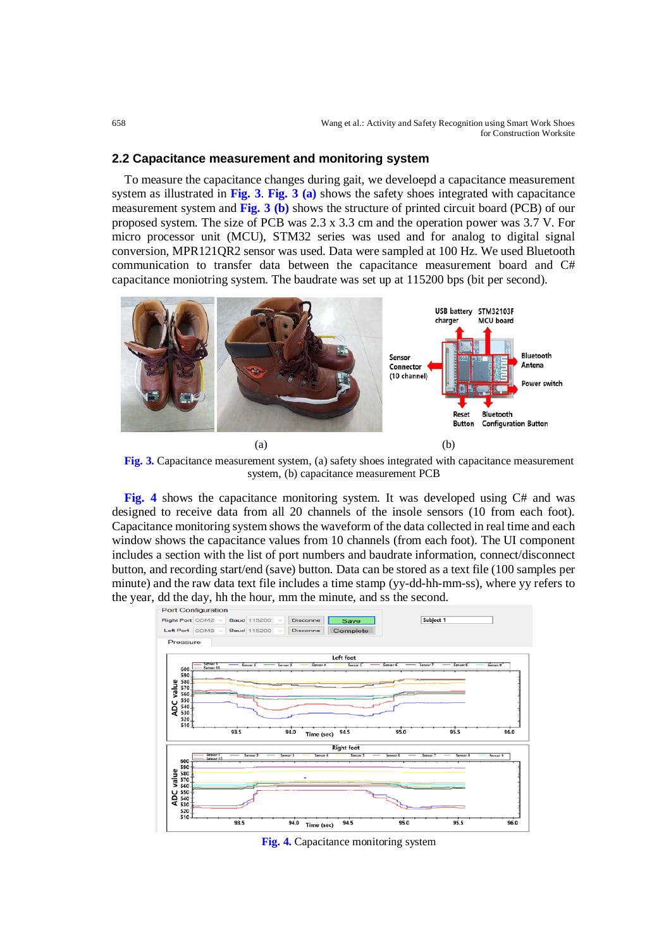#### **2.2 Capacitance measurement and monitoring system**

To measure the capacitance changes during gait, we develoepd a capacitance measurement system as illustrated in **Fig. 3**. **Fig. 3 (a)** shows the safety shoes integrated with capacitance measurement system and **Fig. 3 (b)** shows the structure of printed circuit board (PCB) of our proposed system. The size of PCB was 2.3 x 3.3 cm and the operation power was 3.7 V. For micro processor unit (MCU), STM32 series was used and for analog to digital signal conversion, MPR121QR2 sensor was used. Data were sampled at 100 Hz. We used Bluetooth communication to transfer data between the capacitance measurement board and C# capacitance moniotring system. The baudrate was set up at 115200 bps (bit per second).



**Fig. 3.** Capacitance measurement system, (a) safety shoes integrated with capacitance measurement system, (b) capacitance measurement PCB

**Fig. 4** shows the capacitance monitoring system. It was developed using C# and was designed to receive data from all 20 channels of the insole sensors (10 from each foot). Capacitance monitoring system shows the waveform of the data collected in real time and each window shows the capacitance values from 10 channels (from each foot). The UI component includes a section with the list of port numbers and baudrate information, connect/disconnect button, and recording start/end (save) button. Data can be stored as a text file (100 samples per minute) and the raw data text file includes a time stamp (yy-dd-hh-mm-ss), where yy refers to the year, dd the day, hh the hour, mm the minute, and ss the second.<br>Port Configuration



**Fig. 4.** Capacitance monitoring system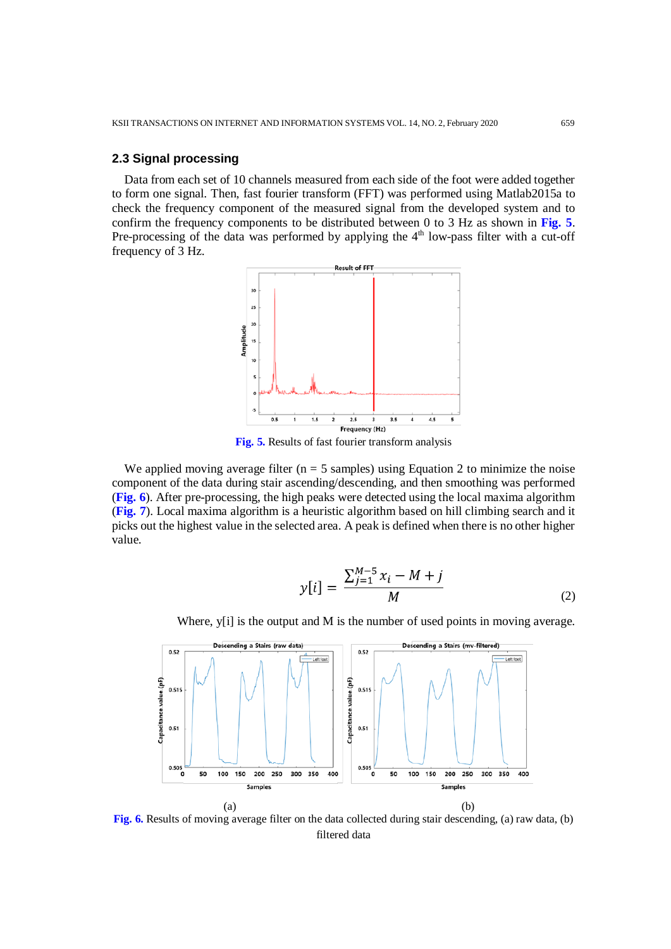### **2.3 Signal processing**

Data from each set of 10 channels measured from each side of the foot were added together to form one signal. Then, fast fourier transform (FFT) was performed using Matlab2015a to check the frequency component of the measured signal from the developed system and to confirm the frequency components to be distributed between 0 to 3 Hz as shown in **Fig. 5**. Pre-processing of the data was performed by applying the  $4<sup>th</sup>$  low-pass filter with a cut-off frequency of 3 Hz.



**Fig. 5.** Results of fast fourier transform analysis

We applied moving average filter ( $n = 5$  samples) using Equation 2 to minimize the noise component of the data during stair ascending/descending, and then smoothing was performed (**Fig. 6**). After pre-processing, the high peaks were detected using the local maxima algorithm (**Fig. 7**). Local maxima algorithm is a heuristic algorithm based on hill climbing search and it picks out the highest value in the selected area. A peak is defined when there is no other higher value.

$$
y[i] = \frac{\sum_{j=1}^{M-5} x_i - M + j}{M}
$$
 (2)

Where, y[i] is the output and M is the number of used points in moving average.



**Fig. 6.** Results of moving average filter on the data collected during stair descending, (a) raw data, (b) filtered data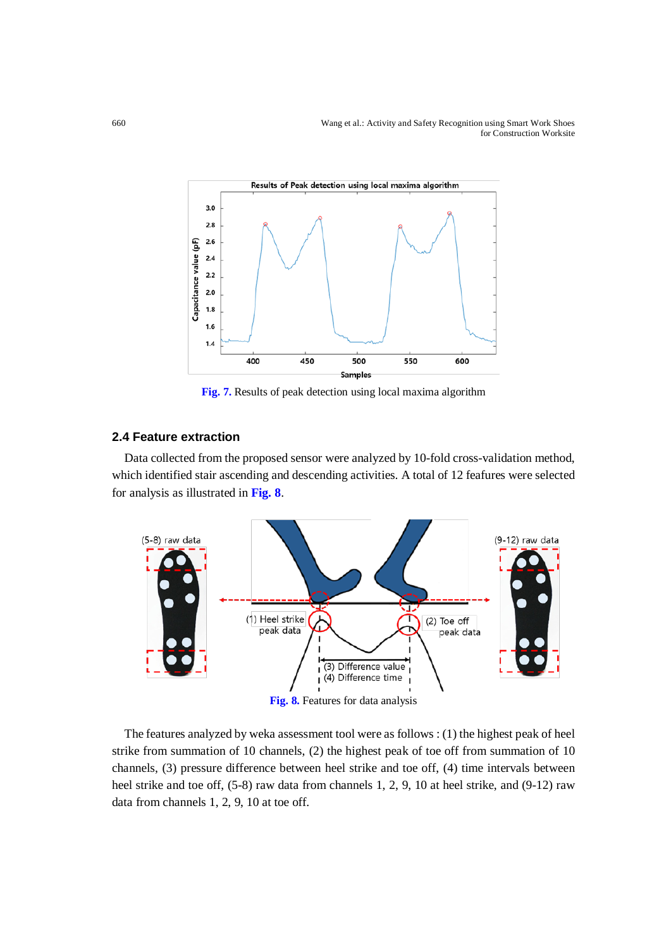660 Wang et al.: Activity and Safety Recognition using Smart Work Shoes for Construction Worksite



**Fig. 7.** Results of peak detection using local maxima algorithm

# **2.4 Feature extraction**

Data collected from the proposed sensor were analyzed by 10-fold cross-validation method, which identified stair ascending and descending activities. A total of 12 feafures were selected for analysis as illustrated in **Fig. 8**.



**Fig. 8.** Features for data analysis

The features analyzed by weka assessment tool were as follows : (1) the highest peak of heel strike from summation of 10 channels, (2) the highest peak of toe off from summation of 10 channels, (3) pressure difference between heel strike and toe off, (4) time intervals between heel strike and toe off, (5-8) raw data from channels 1, 2, 9, 10 at heel strike, and (9-12) raw data from channels 1, 2, 9, 10 at toe off.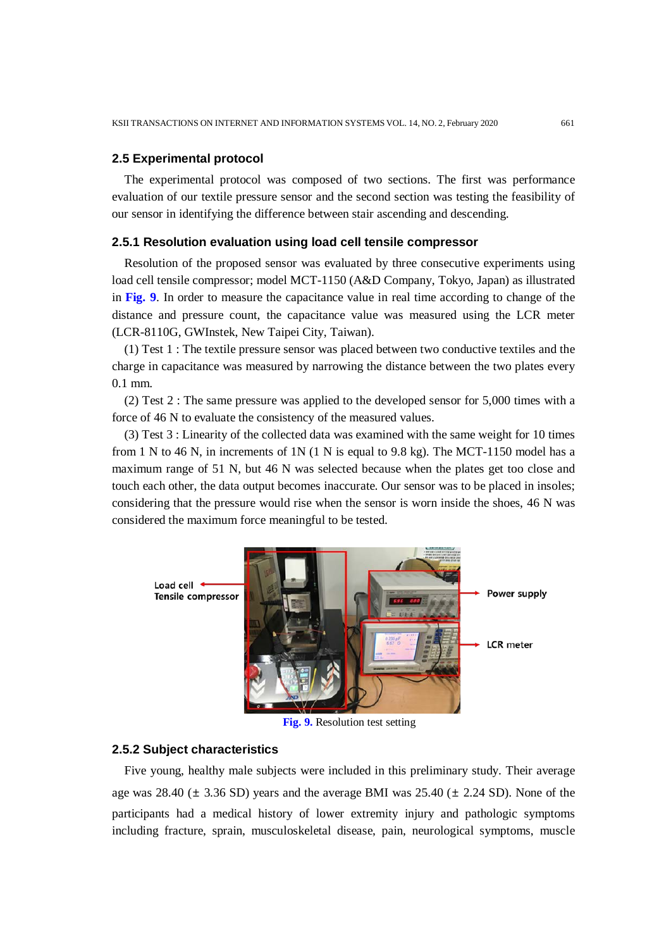#### **2.5 Experimental protocol**

The experimental protocol was composed of two sections. The first was performance evaluation of our textile pressure sensor and the second section was testing the feasibility of our sensor in identifying the difference between stair ascending and descending.

#### **2.5.1 Resolution evaluation using load cell tensile compressor**

Resolution of the proposed sensor was evaluated by three consecutive experiments using load cell tensile compressor; model MCT-1150 (A&D Company, Tokyo, Japan) as illustrated in **Fig. 9**. In order to measure the capacitance value in real time according to change of the distance and pressure count, the capacitance value was measured using the LCR meter (LCR-8110G, GWInstek, New Taipei City, Taiwan).

(1) Test 1 : The textile pressure sensor was placed between two conductive textiles and the charge in capacitance was measured by narrowing the distance between the two plates every 0.1 mm.

(2) Test 2 : The same pressure was applied to the developed sensor for 5,000 times with a force of 46 N to evaluate the consistency of the measured values.

(3) Test 3 : Linearity of the collected data was examined with the same weight for 10 times from 1 N to 46 N, in increments of 1N  $(1 \text{ N})$  is equal to 9.8 kg). The MCT-1150 model has a maximum range of 51 N, but 46 N was selected because when the plates get too close and touch each other, the data output becomes inaccurate. Our sensor was to be placed in insoles; considering that the pressure would rise when the sensor is worn inside the shoes, 46 N was considered the maximum force meaningful to be tested.



**Fig. 9.** Resolution test setting

### **2.5.2 Subject characteristics**

Five young, healthy male subjects were included in this preliminary study. Their average age was  $28.40 \pm 3.36$  SD) years and the average BMI was  $25.40 \pm 2.24$  SD). None of the participants had a medical history of lower extremity injury and pathologic symptoms including fracture, sprain, musculoskeletal disease, pain, neurological symptoms, muscle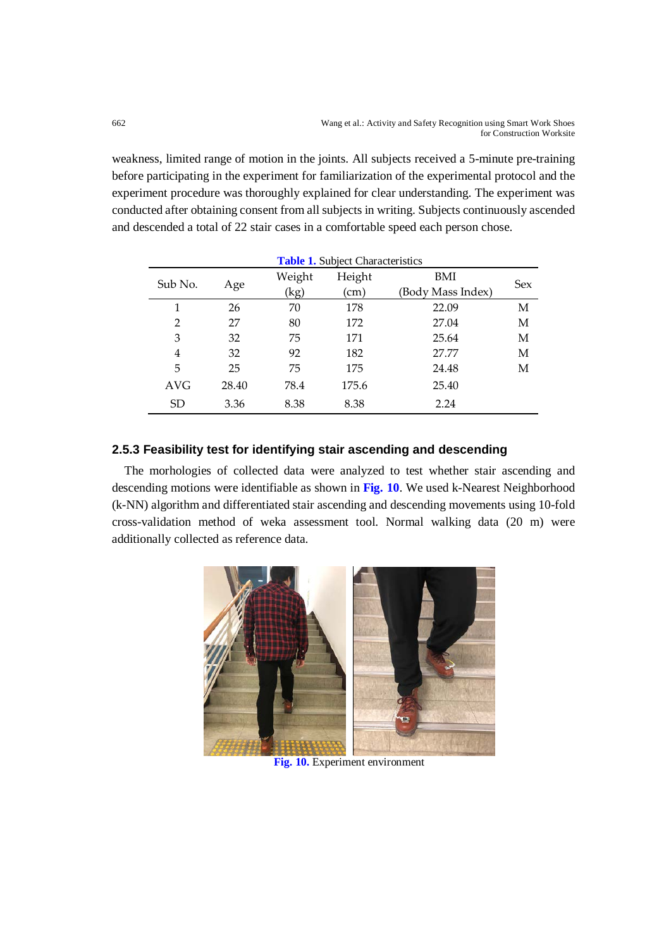weakness, limited range of motion in the joints. All subjects received a 5-minute pre-training before participating in the experiment for familiarization of the experimental protocol and the experiment procedure was thoroughly explained for clear understanding. The experiment was conducted after obtaining consent from all subjects in writing. Subjects continuously ascended and descended a total of 22 stair cases in a comfortable speed each person chose.

| <b>Table 1.</b> Subject Characteristics |       |        |        |                   |            |  |
|-----------------------------------------|-------|--------|--------|-------------------|------------|--|
| Sub No.                                 | Age   | Weight | Height | BMI               | <b>Sex</b> |  |
|                                         |       | (kg)   | (cm)   | (Body Mass Index) |            |  |
| 1                                       | 26    | 70     | 178    | 22.09             | М          |  |
| 2                                       | 27    | 80     | 172    | 27.04             | М          |  |
| 3                                       | 32    | 75     | 171    | 25.64             | М          |  |
| 4                                       | 32    | 92     | 182    | 27.77             | М          |  |
| 5                                       | 25    | 75     | 175    | 24.48             | М          |  |
| <b>AVG</b>                              | 28.40 | 78.4   | 175.6  | 25.40             |            |  |
| <b>SD</b>                               | 3.36  | 8.38   | 8.38   | 2.24              |            |  |

# **2.5.3 Feasibility test for identifying stair ascending and descending**

The morhologies of collected data were analyzed to test whether stair ascending and descending motions were identifiable as shown in **Fig. 10**. We used k-Nearest Neighborhood (k-NN) algorithm and differentiated stair ascending and descending movements using 10-fold cross-validation method of weka assessment tool. Normal walking data (20 m) were additionally collected as reference data.



**Fig. 10.** Experiment environment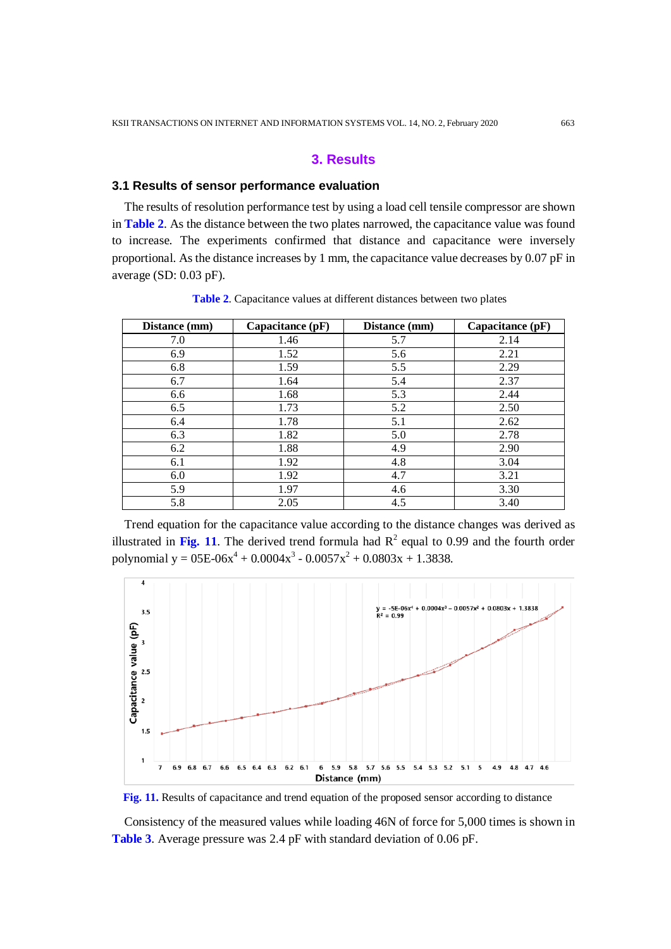# **3. Results**

#### **3.1 Results of sensor performance evaluation**

The results of resolution performance test by using a load cell tensile compressor are shown in **Table 2**. As the distance between the two plates narrowed, the capacitance value was found to increase. The experiments confirmed that distance and capacitance were inversely proportional. As the distance increases by 1 mm, the capacitance value decreases by 0.07 pF in average (SD: 0.03 pF).

| Distance (mm) | Capacitance $(pF)$ | Distance (mm) | Capacitance (pF) |
|---------------|--------------------|---------------|------------------|
| 7.0           | 1.46               | 5.7           | 2.14             |
| 6.9           | 1.52               | 5.6           | 2.21             |
| 6.8           | 1.59               | 5.5           | 2.29             |
| 6.7           | 1.64               | 5.4           | 2.37             |
| 6.6           | 1.68               | 5.3           | 2.44             |
| 6.5           | 1.73               | 5.2           | 2.50             |
| 6.4           | 1.78               | 5.1           | 2.62             |
| 6.3           | 1.82               | 5.0           | 2.78             |
| 6.2           | 1.88               | 4.9           | 2.90             |
| 6.1           | 1.92               | 4.8           | 3.04             |
| 6.0           | 1.92               | 4.7           | 3.21             |
| 5.9           | 1.97               | 4.6           | 3.30             |
| 5.8           | 2.05               | 4.5           | 3.40             |

**Table 2**. Capacitance values at different distances between two plates

Trend equation for the capacitance value according to the distance changes was derived as illustrated in Fig. 11. The derived trend formula had  $R^2$  equal to 0.99 and the fourth order polynomial y =  $0.05E-0.004x^3 - 0.0057x^2 + 0.0803x + 1.3838$ .





Consistency of the measured values while loading 46N of force for 5,000 times is shown in **Table 3**. Average pressure was 2.4 pF with standard deviation of 0.06 pF.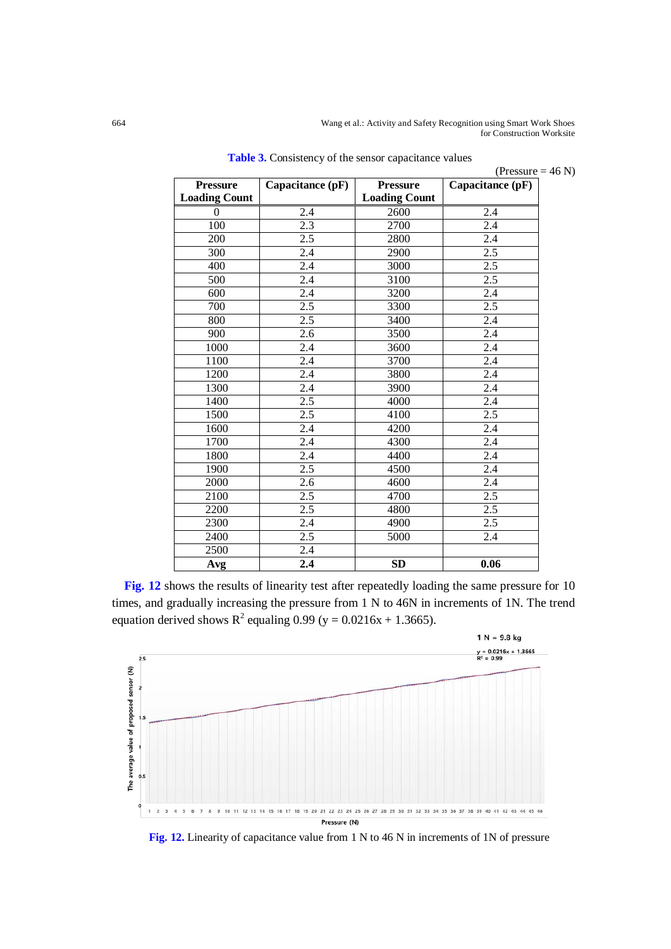664 Wang et al.: Activity and Safety Recognition using Smart Work Shoes for Construction Worksite

| <b>Pressure</b>      | Capacitance (pF) | <b>Pressure</b>      | (Pressure = $46$ N)<br>Capacitance (pF) |
|----------------------|------------------|----------------------|-----------------------------------------|
| <b>Loading Count</b> |                  | <b>Loading Count</b> |                                         |
| $\Omega$             | 2.4              | 2600                 | 2.4                                     |
| 100                  | 2.3              | 2700                 | 2.4                                     |
| 200                  | 2.5              | 2800                 | $\overline{2.4}$                        |
| 300                  | 2.4              | 2900                 | 2.5                                     |
| 400                  | $\overline{2.4}$ | 3000                 | 2.5                                     |
| 500                  | 2.4              | 3100                 | 2.5                                     |
| 600                  | $\overline{2.4}$ | 3200                 | $\overline{2.4}$                        |
| 700                  | 2.5              | 3300                 | 2.5                                     |
| 800                  | 2.5              | 3400                 | 2.4                                     |
| 900                  | 2.6              | 3500                 | 2.4                                     |
| 1000                 | 2.4              | 3600                 | 2.4                                     |
| 1100                 | 2.4              | 3700                 | 2.4                                     |
| 1200                 | 2.4              | 3800                 | 2.4                                     |
| 1300                 | 2.4              | 3900                 | 2.4                                     |
| 1400                 | 2.5              | 4000                 | 2.4                                     |
| 1500                 | 2.5              | 4100                 | 2.5                                     |
| 1600                 | 2.4              | 4200                 | 2.4                                     |
| 1700                 | 2.4              | 4300                 | 2.4                                     |
| 1800                 | 2.4              | 4400                 | 2.4                                     |
| 1900                 | 2.5              | 4500                 | 2.4                                     |
| 2000                 | 2.6              | 4600                 | 2.4                                     |
| 2100                 | 2.5              | 4700                 | 2.5                                     |
| 2200                 | 2.5              | 4800                 | 2.5                                     |
| 2300                 | 2.4              | 4900                 | 2.5                                     |
| 2400                 | 2.5              | 5000                 | 2.4                                     |
| 2500                 | 2.4              |                      |                                         |
| Avg                  | 2.4              | <b>SD</b>            | 0.06                                    |

**Table 3.** Consistency of the sensor capacitance values

**Fig. 12** shows the results of linearity test after repeatedly loading the same pressure for 10 times, and gradually increasing the pressure from 1 N to 46N in increments of 1N. The trend equation derived shows  $R^2$  equaling 0.99 (y = 0.0216x + 1.3665).



**Fig. 12.** Linearity of capacitance value from 1 N to 46 N in increments of 1N of pressure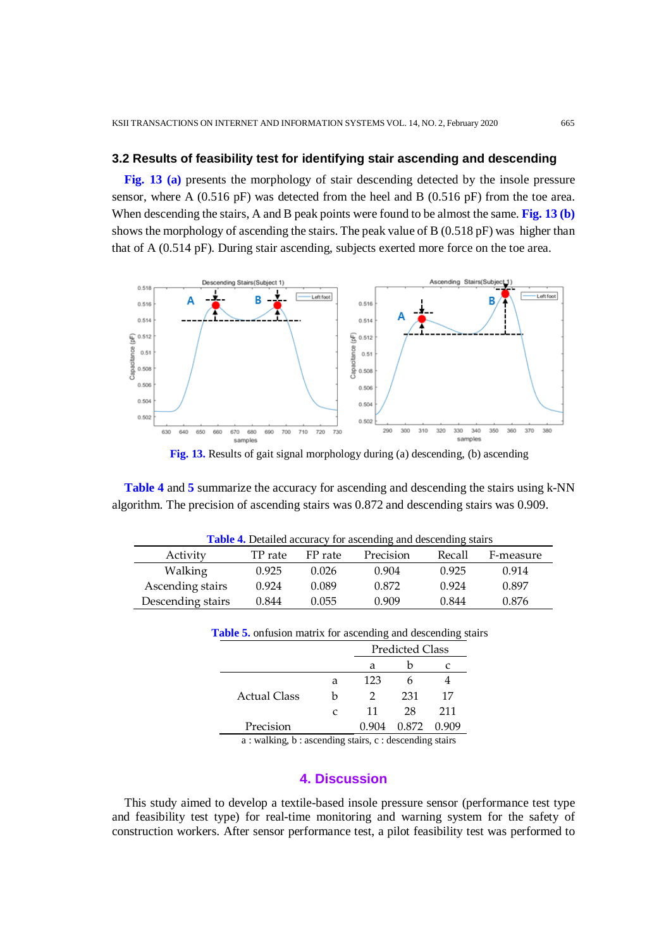#### **3.2 Results of feasibility test for identifying stair ascending and descending**

**Fig. 13 (a)** presents the morphology of stair descending detected by the insole pressure sensor, where A (0.516 pF) was detected from the heel and B (0.516 pF) from the toe area. When descending the stairs, A and B peak points were found to be almost the same. **Fig. 13 (b)** shows the morphology of ascending the stairs. The peak value of B (0.518 pF) was higher than that of A (0.514 pF). During stair ascending, subjects exerted more force on the toe area.



**Fig. 13.** Results of gait signal morphology during (a) descending, (b) ascending

**Table 4** and **5** summarize the accuracy for ascending and descending the stairs using k-NN algorithm. The precision of ascending stairs was 0.872 and descending stairs was 0.909.

| <b>Table 4.</b> Detailed accuracy for ascending and descending stairs |         |         |           |        |           |
|-----------------------------------------------------------------------|---------|---------|-----------|--------|-----------|
| Activity                                                              | TP rate | FP rate | Precision | Recall | F-measure |
| Walking                                                               | 0.925   | 0.026   | 0.904     | 0.925  | 0.914     |
| Ascending stairs                                                      | 0.924   | 0.089   | 0.872     | 0.924  | 0.897     |
| Descending stairs                                                     | 0.844   | 0.055   | 0.909     | 0.844  | 0.876     |

| <b>Table 5.</b> onfusion matrix for ascending and descending stairs |   |                        |       |     |  |
|---------------------------------------------------------------------|---|------------------------|-------|-----|--|
|                                                                     |   | <b>Predicted Class</b> |       |     |  |
|                                                                     |   | а                      |       |     |  |
|                                                                     | а | 123                    |       |     |  |
| Actual Class                                                        | h | $\mathcal{D}$          | 231   | 17  |  |
|                                                                     | C | 11                     | 28    | 211 |  |
| Precision                                                           |   |                        | 0.872 |     |  |

a : walking, b : ascending stairs, c : descending stairs

#### **4. Discussion**

This study aimed to develop a textile-based insole pressure sensor (performance test type and feasibility test type) for real-time monitoring and warning system for the safety of construction workers. After sensor performance test, a pilot feasibility test was performed to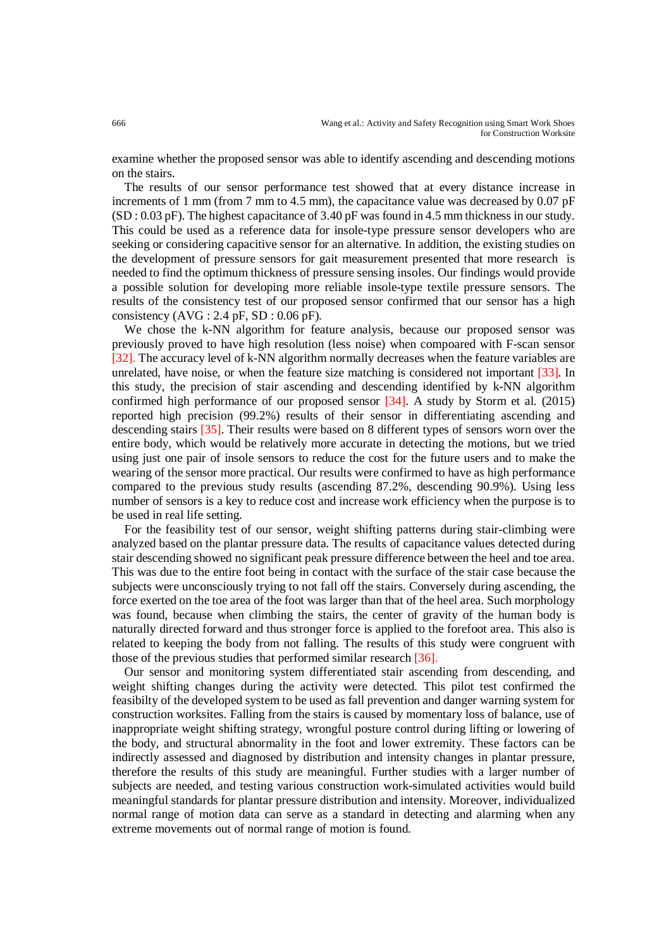examine whether the proposed sensor was able to identify ascending and descending motions on the stairs.

The results of our sensor performance test showed that at every distance increase in increments of 1 mm (from 7 mm to 4.5 mm), the capacitance value was decreased by 0.07 pF (SD : 0.03 pF). The highest capacitance of 3.40 pF was found in 4.5 mm thickness in our study. This could be used as a reference data for insole-type pressure sensor developers who are seeking or considering capacitive sensor for an alternative. In addition, the existing studies on the development of pressure sensors for gait measurement presented that more research is needed to find the optimum thickness of pressure sensing insoles. Our findings would provide a possible solution for developing more reliable insole-type textile pressure sensors. The results of the consistency test of our proposed sensor confirmed that our sensor has a high consistency  $(AVG : 2.4$  pF, SD : 0.06 pF).

We chose the k-NN algorithm for feature analysis, because our proposed sensor was previously proved to have high resolution (less noise) when compoared with F-scan sensor [32]. The accuracy level of k-NN algorithm normally decreases when the feature variables are unrelated, have noise, or when the feature size matching is considered not important [33]. In this study, the precision of stair ascending and descending identified by k-NN algorithm confirmed high performance of our proposed sensor [34]. A study by Storm et al. (2015) reported high precision (99.2%) results of their sensor in differentiating ascending and descending stairs [35]. Their results were based on 8 different types of sensors worn over the entire body, which would be relatively more accurate in detecting the motions, but we tried using just one pair of insole sensors to reduce the cost for the future users and to make the wearing of the sensor more practical. Our results were confirmed to have as high performance compared to the previous study results (ascending 87.2%, descending 90.9%). Using less number of sensors is a key to reduce cost and increase work efficiency when the purpose is to be used in real life setting.

For the feasibility test of our sensor, weight shifting patterns during stair-climbing were analyzed based on the plantar pressure data. The results of capacitance values detected during stair descending showed no significant peak pressure difference between the heel and toe area. This was due to the entire foot being in contact with the surface of the stair case because the subjects were unconsciously trying to not fall off the stairs. Conversely during ascending, the force exerted on the toe area of the foot was larger than that of the heel area. Such morphology was found, because when climbing the stairs, the center of gravity of the human body is naturally directed forward and thus stronger force is applied to the forefoot area. This also is related to keeping the body from not falling. The results of this study were congruent with those of the previous studies that performed similar research [36].

Our sensor and monitoring system differentiated stair ascending from descending, and weight shifting changes during the activity were detected. This pilot test confirmed the feasibilty of the developed system to be used as fall prevention and danger warning system for construction worksites. Falling from the stairs is caused by momentary loss of balance, use of inappropriate weight shifting strategy, wrongful posture control during lifting or lowering of the body, and structural abnormality in the foot and lower extremity. These factors can be indirectly assessed and diagnosed by distribution and intensity changes in plantar pressure, therefore the results of this study are meaningful. Further studies with a larger number of subjects are needed, and testing various construction work-simulated activities would build meaningful standards for plantar pressure distribution and intensity. Moreover, individualized normal range of motion data can serve as a standard in detecting and alarming when any extreme movements out of normal range of motion is found.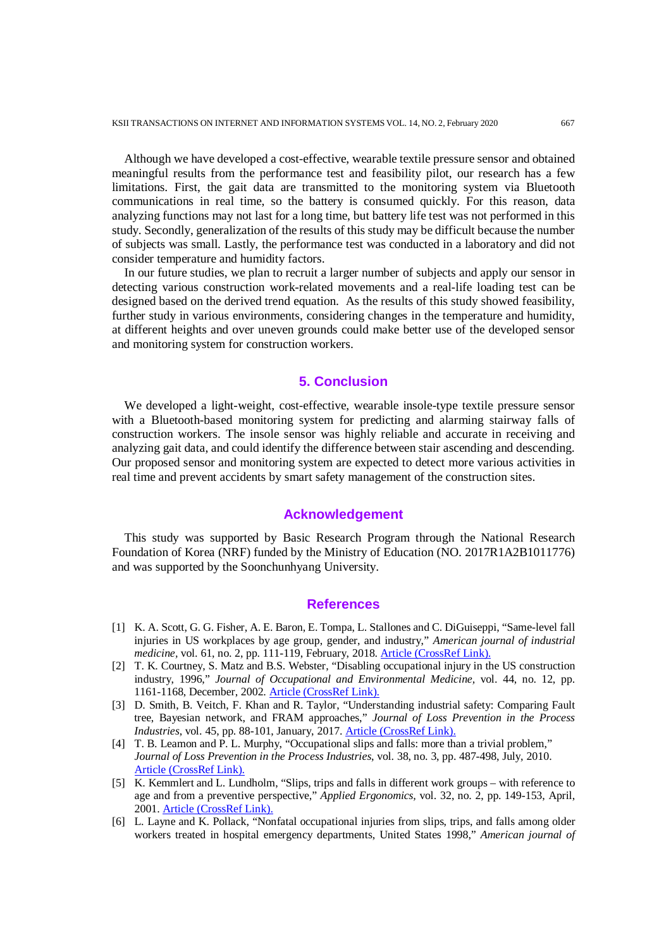Although we have developed a cost-effective, wearable textile pressure sensor and obtained meaningful results from the performance test and feasibility pilot, our research has a few limitations. First, the gait data are transmitted to the monitoring system via Bluetooth communications in real time, so the battery is consumed quickly. For this reason, data analyzing functions may not last for a long time, but battery life test was not performed in this study. Secondly, generalization of the results of this study may be difficult because the number of subjects was small. Lastly, the performance test was conducted in a laboratory and did not consider temperature and humidity factors.

In our future studies, we plan to recruit a larger number of subjects and apply our sensor in detecting various construction work-related movements and a real-life loading test can be designed based on the derived trend equation. As the results of this study showed feasibility, further study in various environments, considering changes in the temperature and humidity, at different heights and over uneven grounds could make better use of the developed sensor and monitoring system for construction workers.

#### **5. Conclusion**

We developed a light-weight, cost-effective, wearable insole-type textile pressure sensor with a Bluetooth-based monitoring system for predicting and alarming stairway falls of construction workers. The insole sensor was highly reliable and accurate in receiving and analyzing gait data, and could identify the difference between stair ascending and descending. Our proposed sensor and monitoring system are expected to detect more various activities in real time and prevent accidents by smart safety management of the construction sites.

# **Acknowledgement**

This study was supported by Basic Research Program through the National Research Foundation of Korea (NRF) funded by the Ministry of Education (NO. 2017R1A2B1011776) and was supported by the Soonchunhyang University.

#### **References**

- [1] K. A. Scott, G. G. Fisher, A. E. Baron, E. Tompa, L. Stallones and C. DiGuiseppi, "Same-level fall injuries in US workplaces by age group, gender, and industry," *American journal of industrial medicine,* vol. 61, no. 2, pp. 111-119, February, 2018[. Article \(CrossRef Link\).](http://dx.doi.org/10.1002/ajim.22796)
- [2] T. K. Courtney, S. Matz and B.S. Webster, "Disabling occupational injury in the US construction industry, 1996," *Journal of Occupational and Environmental Medicine,* vol. 44, no. 12, pp. 1161-1168, December, 2002[. Article \(CrossRef Link\).](http://dx.doi.org/10.1097/00043764-200212000-00010)
- [3] D. Smith, B. Veitch, F. Khan and R. Taylor, "Understanding industrial safety: Comparing Fault tree, Bayesian network, and FRAM approaches," *Journal of Loss Prevention in the Process Industries*, vol. 45, pp. 88-101, January, 2017. [Article \(CrossRef Link\).](http://dx.doi.org/10.1016/j.jlp.2016.11.016)
- [4] T. B. Leamon and P. L. Murphy, "Occupational slips and falls: more than a trivial problem," *Journal of Loss Prevention in the Process Industries*, vol. 38, no. 3, pp. 487-498, July, 2010. [Article \(CrossRef Link\).](http://dx.doi.org/10.1080/00140139508925120)
- [5] K. Kemmlert and L. Lundholm, "Slips, trips and falls in different work groups with reference to age and from a preventive perspective," *Applied Ergonomics,* vol. 32, no. 2, pp. 149-153, April, 2001. [Article \(CrossRef Link\).](http://dx.doi.org/10.1016/S0003-6870(00)00051-X)
- [6] L. Layne and K. Pollack, "Nonfatal occupational injuries from slips, trips, and falls among older workers treated in hospital emergency departments, United States 1998," *American journal of*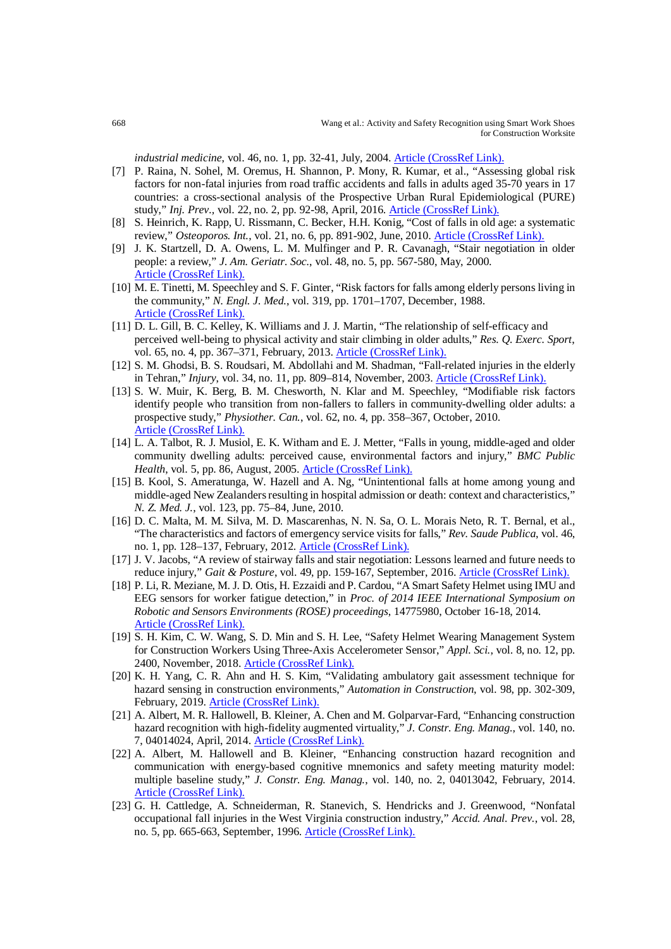*industrial medicine*, vol. 46, no. 1, pp. 32-41, July, 2004[. Article \(CrossRef Link\).](http://dx.doi.org/10.1002/ajim.20038)

- [7] P. Raina, N. Sohel, M. Oremus, H. Shannon, P. Mony, R. Kumar, et al., "Assessing global risk factors for non-fatal injuries from road traffic accidents and falls in adults aged 35-70 years in 17 countries: a cross-sectional analysis of the Prospective Urban Rural Epidemiological (PURE) study," *Inj. Prev.,* vol. 22, no. 2, pp. 92-98, April, 2016. [Article \(CrossRef Link\).](http://dx.doi.org/10.1136/injuryprev-2014-041476)
- [8] S. Heinrich, K. Rapp, U. Rissmann, C. Becker, H.H. Konig, "Cost of falls in old age: a systematic review," Osteoporos. Int., vol. 21, no. 6, pp. 891-902, June, 2010. [Article \(CrossRef Link\).](http://dx.doi.org/10.1007/s00198-009-1100-1)
- [9] J. K. Startzell, D. A. Owens, L. M. Mulfinger and P. R. Cavanagh, "Stair negotiation in older people: a review," *J. Am. Geriatr. Soc.*, vol. 48, no. 5, pp. 567-580, May, 2000. [Article \(CrossRef Link\).](http://dx.doi.org/10.1111/j.1532-5415.2000.tb05006.x)
- [10] M. E. Tinetti, M. Speechley and S. F. Ginter, "Risk factors for falls among elderly persons living in the community," *N. Engl. J. Med.*, vol. 319, pp. 1701–1707, December, 1988. [Article \(CrossRef Link\).](http://dx.doi.org/10.1056/NEJM198812293192604)
- [11] D. L. Gill, B. C. Kelley, K. Williams and J. J. Martin, "The relationship of self-efficacy and perceived well-being to physical activity and stair climbing in older adults," *Res. Q. Exerc. Sport*, vol. 65, no. 4, pp. 367–371, February, 2013. [Article \(CrossRef Link\).](http://dx.doi.org/10.1080/02701367.1994.10607642)
- [12] S. M. Ghodsi, B. S. Roudsari, M. Abdollahi and M. Shadman, "Fall-related injuries in the elderly in Tehran," *Injury*, vol. 34, no. 11, pp. 809–814, November, 2003. [Article \(CrossRef Link\).](http://dx.doi.org/10.1016/S0020-1383(02)00376-5)
- [13] S. W. Muir, K. Berg, B. M. Chesworth, N. Klar and M. Speechley, "Modifiable risk factors identify people who transition from non-fallers to fallers in community-dwelling older adults: a prospective study," *Physiother. Can.*, vol. 62, no. 4, pp. 358–367, October, 2010. [Article \(CrossRef Link\).](http://dx.doi.org/10.3138/physio.62.4.358)
- [14] L. A. Talbot, R. J. Musiol, E. K. Witham and E. J. Metter, "Falls in young, middle-aged and older community dwelling adults: perceived cause, environmental factors and injury," *BMC Public*  Health, vol. 5, pp. 86, August, 2005. **Article (CrossRef Link)**.
- [15] B. Kool, S. Ameratunga, W. Hazell and A. Ng, "Unintentional falls at home among young and middle-aged New Zealanders resulting in hospital admission or death: context and characteristics," *N. Z. Med. J.*, vol. 123, pp. 75–84, June, 2010.
- [16] D. C. Malta, M. M. Silva, M. D. Mascarenhas, N. N. Sa, O. L. Morais Neto, R. T. Bernal, et al., "The characteristics and factors of emergency service visits for falls," *Rev. Saude Publica*, vol. 46, no. 1, pp. 128–137, February, 2012. [Article \(CrossRef Link\).](http://dx.doi.org/10.1590/S0034-89102012000100016)
- [17] J. V. Jacobs, "A review of stairway falls and stair negotiation: Lessons learned and future needs to reduce injury," *Gait & Posture*, vol. 49, pp. 159-167, September, 2016. [Article \(CrossRef Link\).](http://dx.doi.org/10.1016/j.gaitpost.2016.06.030)
- [18] P. Li, R. Meziane, M. J. D. Otis, H. Ezzaidi and P. Cardou, "A Smart Safety Helmet using IMU and EEG sensors for worker fatigue detection," in *Proc. of 2014 IEEE International Symposium on Robotic and Sensors Environments (ROSE) proceedings*, 14775980, October 16-18, 2014. [Article \(CrossRef Link\).](http://dx.doi.org/10.1109/ROSE.2014.6952983)
- [19] S. H. Kim, C. W. Wang, S. D. Min and S. H. Lee, "Safety Helmet Wearing Management System for Construction Workers Using Three-Axis Accelerometer Sensor," *Appl. Sci.*, vol. 8, no. 12, pp. 2400, November, 2018[. Article \(CrossRef Link\).](http://dx.doi.org/10.3390/app8122400)
- [20] K. H. Yang, C. R. Ahn and H. S. Kim, "Validating ambulatory gait assessment technique for hazard sensing in construction environments," *Automation in Construction*, vol. 98, pp. 302-309, February, 2019. [Article \(CrossRef Link\).](http://dx.doi.org/10.1016/j.autcon.2018.09.017)
- [21] A. Albert, M. R. Hallowell, B. Kleiner, A. Chen and M. Golparvar-Fard, "Enhancing construction hazard recognition with high-fidelity augmented virtuality," *J. Constr. Eng. Manag.*, vol. 140, no. 7, 04014024, April, 2014[. Article \(CrossRef Link\).](http://dx.doi.org/10.1061/(ASCE)CO.1943-7862.0000860)
- [22] A. Albert, M. Hallowell and B. Kleiner, "Enhancing construction hazard recognition and communication with energy-based cognitive mnemonics and safety meeting maturity model: multiple baseline study," *J. Constr. Eng. Manag.*, vol. 140, no. 2, 04013042, February, 2014. [Article \(CrossRef Link\).](http://dx.doi.org/10.1061/(ASCE)CO.1943-7862.0000790)
- [23] G. H. Cattledge, A. Schneiderman, R. Stanevich, S. Hendricks and J. Greenwood, "Nonfatal occupational fall injuries in the West Virginia construction industry," *Accid. Anal. Prev.*, vol. 28, no. 5, pp. 665-663, September, 1996. [Article \(CrossRef Link\).](http://dx.doi.org/10.1016/0001-4575(96)00026-7)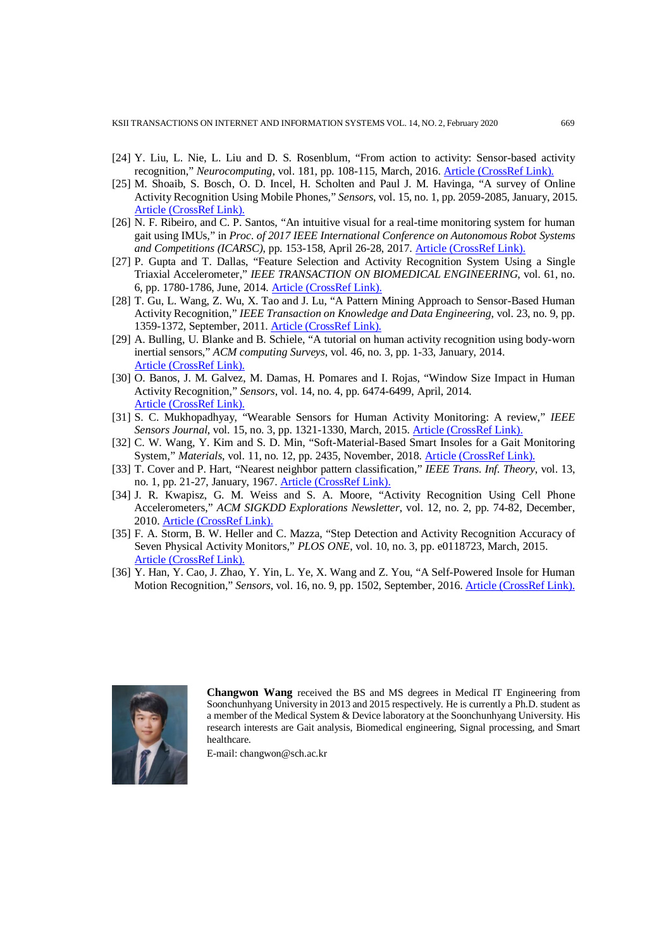KSII TRANSACTIONS ON INTERNET AND INFORMATION SYSTEMS VOL. 14, NO. 2, February 2020 669

- [24] Y. Liu, L. Nie, L. Liu and D. S. Rosenblum, "From action to activity: Sensor-based activity recognition," *Neurocomputing*, vol. 181, pp. 108-115, March, 2016[. Article \(CrossRef Link\).](http://dx.doi.org/10.1016/j.neucom.2015.08.096)
- [25] M. Shoaib, S. Bosch, O. D. Incel, H. Scholten and Paul J. M. Havinga, "A survey of Online Activity Recognition Using Mobile Phones," *Sensors*, vol. 15, no. 1, pp. 2059-2085, January, 2015. [Article \(CrossRef Link\).](https://doi.org/10.3390/s150102059)
- [26] N. F. Ribeiro, and C. P. Santos, "An intuitive visual for a real-time monitoring system for human gait using IMUs," in *Proc. of 2017 IEEE International Conference on Autonomous Robot Systems and Competitions (ICARSC)*, pp. 153-158, April 26-28, 2017. [Article \(CrossRef Link\).](http://dx.doi.org/10.1109/ICARSC.2017.7964068)
- [27] P. Gupta and T. Dallas, "Feature Selection and Activity Recognition System Using a Single Triaxial Accelerometer," *IEEE TRANSACTION ON BIOMEDICAL ENGINEERING*, vol. 61, no. 6, pp. 1780-1786, June, 2014. [Article \(CrossRef Link\).](http://dx.doi.org/10.1109/TBME.2014.2307069)
- [28] T. Gu, L. Wang, Z. Wu, X. Tao and J. Lu, "A Pattern Mining Approach to Sensor-Based Human Activity Recognition," *IEEE Transaction on Knowledge and Data Engineering*, vol. 23, no. 9, pp. 1359-1372, September, 2011. [Article \(CrossRef Link\).](http://dx.doi.org/10.1109/TKDE.2010.184)
- [29] A. Bulling, U. Blanke and B. Schiele, "A tutorial on human activity recognition using body-worn inertial sensors," *ACM computing Surveys*, vol. 46, no. 3, pp. 1-33, January, 2014. [Article \(CrossRef Link\).](http://dx.doi.org/10.1145/2499621)
- [30] O. Banos, J. M. Galvez, M. Damas, H. Pomares and I. Rojas, "Window Size Impact in Human Activity Recognition," *Sensors*, vol. 14, no. 4, pp. 6474-6499, April, 2014. [Article \(CrossRef Link\).](http://dx.doi.org/10.3390/s140406474)
- [31] S. C. Mukhopadhyay, "Wearable Sensors for Human Activity Monitoring: A review," *IEEE Sensors Journal*, vol. 15, no. 3, pp. 1321-1330, March, 2015. [Article \(CrossRef Link\).](http://dx.doi.org/10.1109/JSEN.2014.2370945)
- [32] C. W. Wang, Y. Kim and S. D. Min, "Soft-Material-Based Smart Insoles for a Gait Monitoring System," *Materials*, vol. 11, no. 12, pp. 2435, November, 2018. [Article \(CrossRef Link\).](http://dx.doi.org/10.3390/ma11122435)
- [33] T. Cover and P. Hart, "Nearest neighbor pattern classification," *IEEE Trans. Inf. Theory*, vol. 13, no. 1, pp. 21-27, January, 1967[. Article \(CrossRef Link\).](http://dx.doi.org/10.1109/TIT.1967.1053964)
- [34] J. R. Kwapisz, G. M. Weiss and S. A. Moore, "Activity Recognition Using Cell Phone Accelerometers," *ACM SIGKDD Explorations Newsletter*, vol. 12, no. 2, pp. 74-82, December, 2010. [Article \(CrossRef Link\).](http://dx.doi.org/10.1145/1964897.1964918)
- [35] F. A. Storm, B. W. Heller and C. Mazza, "Step Detection and Activity Recognition Accuracy of Seven Physical Activity Monitors," *PLOS ONE*, vol. 10, no. 3, pp. e0118723, March, 2015. [Article \(CrossRef Link\).](http://dx.doi.org/10.1371/journal.pone.0118723)
- [36] Y. Han, Y. Cao, J. Zhao, Y. Yin, L. Ye, X. Wang and Z. You, "A Self-Powered Insole for Human Motion Recognition," *Sensors*, vol. 16, no. 9, pp. 1502, September, 2016. [Article \(CrossRef Link\).](http://dx.doi.org/10.3390/s16091502)



**Changwon Wang** received the BS and MS degrees in Medical IT Engineering from Soonchunhyang University in 2013 and 2015 respectively. He is currently a Ph.D. student as a member of the Medical System & Device laboratory at the Soonchunhyang University. His research interests are Gait analysis, Biomedical engineering, Signal processing, and Smart healthcare.

E-mail: changwon@sch.ac.kr